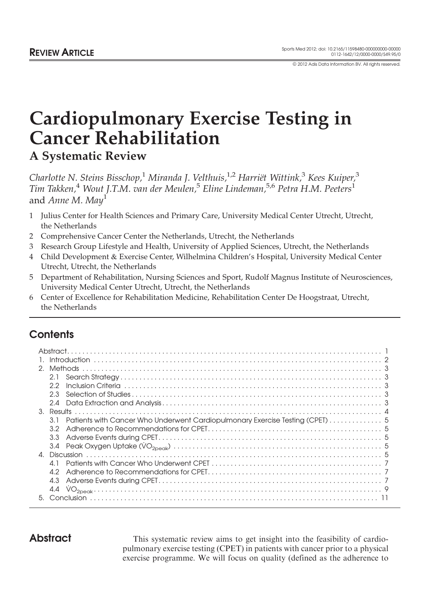© 2012 Adis Data Information BV. All rights reserved.

# Cardiopulmonary Exercise Testing in Cancer Rehabilitation A Systematic Review

Charlotte N. Steins Bisschop, $^1$  Miranda J. Velthuis, $^{1,2}$  Harriët\_Wittink, $^3$  Kees Kuiper, $^3$ Tim Takken,<sup>4</sup> Wout J.T.M. van der Meulen,<sup>5</sup> Eline Lindeman,<sup>5,6</sup> Petra H.M. Peeters<sup>1</sup> and Anne M. May<sup>1</sup>

- 1 Julius Center for Health Sciences and Primary Care, University Medical Center Utrecht, Utrecht, the Netherlands
- 2 Comprehensive Cancer Center the Netherlands, Utrecht, the Netherlands
- 3 Research Group Lifestyle and Health, University of Applied Sciences, Utrecht, the Netherlands
- 4 Child Development & Exercise Center, Wilhelmina Children's Hospital, University Medical Center Utrecht, Utrecht, the Netherlands
- 5 Department of Rehabilitation, Nursing Sciences and Sport, Rudolf Magnus Institute of Neurosciences, University Medical Center Utrecht, Utrecht, the Netherlands
- 6 Center of Excellence for Rehabilitation Medicine, Rehabilitation Center De Hoogstraat, Utrecht, the Netherlands

## **Contents**

|    | 2.1                                                                                 |  |
|----|-------------------------------------------------------------------------------------|--|
|    | 2.2                                                                                 |  |
|    | 2.3                                                                                 |  |
|    | 2.4                                                                                 |  |
|    |                                                                                     |  |
|    | Patients with Cancer Who Underwent Cardiopulmonary Exercise Testing (CPET) 5<br>3 I |  |
|    |                                                                                     |  |
|    | 3.3                                                                                 |  |
|    |                                                                                     |  |
|    |                                                                                     |  |
|    |                                                                                     |  |
|    |                                                                                     |  |
|    | 4.3                                                                                 |  |
|    |                                                                                     |  |
| 5. |                                                                                     |  |

Abstract This systematic review aims to get insight into the feasibility of cardiopulmonary exercise testing (CPET) in patients with cancer prior to a physical exercise programme. We will focus on quality (defined as the adherence to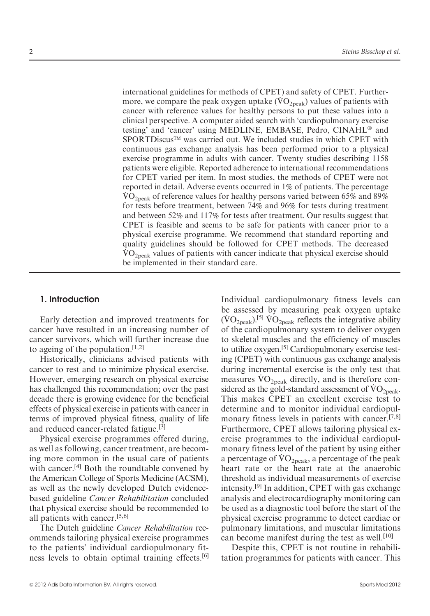international guidelines for methods of CPET) and safety of CPET. Furthermeritational guidences for metriods of CFET) and safety of CFET. Furthermore, we compare the peak oxygen uptake  $(\rm VO_{2peak})$  values of patients with cancer with reference values for healthy persons to put these values into a clinical perspective. A computer aided search with 'cardiopulmonary exercise testing' and 'cancer' using MEDLINE, EMBASE, Pedro, CINAHL® and SPORTDiscus™ was carried out. We included studies in which CPET with continuous gas exchange analysis has been performed prior to a physical exercise programme in adults with cancer. Twenty studies describing 1158 patients were eligible. Reported adherence to international recommendations for CPET varied per item. In most studies, the methods of CPET were not reported in detail. Adverse events occurred in 1% of patients. The percentage  $\rm \dot{VO}_{2neak}$  of reference values for healthy persons varied between 65% and 89% for tests before treatment, between 74% and 96% for tests during treatment and between 52% and 117% for tests after treatment. Our results suggest that CPET is feasible and seems to be safe for patients with cancer prior to a physical exercise programme. We recommend that standard reporting and quality guidelines should be followed for CPET methods. The decreased  $\rm{VO}_{2neak}$  values of patients with cancer indicate that physical exercise should be implemented in their standard care.

#### 1. Introduction

Early detection and improved treatments for cancer have resulted in an increasing number of cancer survivors, which will further increase due to ageing of the population.<sup>[1,2]</sup>

Historically, clinicians advised patients with cancer to rest and to minimize physical exercise. However, emerging research on physical exercise has challenged this recommendation; over the past decade there is growing evidence for the beneficial effects of physical exercise in patients with cancer in terms of improved physical fitness, quality of life and reduced cancer-related fatigue.[3]

Physical exercise programmes offered during, as well as following, cancer treatment, are becoming more common in the usual care of patients with cancer.<sup>[4]</sup> Both the roundtable convened by the American College of Sports Medicine (ACSM), as well as the newly developed Dutch evidencebased guideline Cancer Rehabilitation concluded that physical exercise should be recommended to all patients with cancer.[5,6]

The Dutch guideline Cancer Rehabilitation recommends tailoring physical exercise programmes to the patients' individual cardiopulmonary fitness levels to obtain optimal training effects.[6] Individual cardiopulmonary fitness levels can be assessed by measuring peak oxygen uptake be assessed by measuring peak oxygen uptake  $(\rm VO_{2peak})$ .<sup>[5]</sup>  $\rm VO_{2peak}$  reflects the integrative ability of the cardiopulmonary system to deliver oxygen to skeletal muscles and the efficiency of muscles to utilize oxygen.[5] Cardiopulmonary exercise testing (CPET) with continuous gas exchange analysis during incremental exercise is the only test that during incremental exercise is the only test that measures  $VO<sub>2peak</sub>$  directly, and is therefore conin the gold-standard assessment of  $\rm\dot{VO}_{2peak}$ . This makes CPET an excellent exercise test to determine and to monitor individual cardiopulmonary fitness levels in patients with cancer.<sup>[7,8]</sup> Furthermore, CPET allows tailoring physical exercise programmes to the individual cardiopulmonary fitness level of the patient by using either  $\mu$  monary nuess level of the patient by using either a percentage of  $\rm \dot{VO}_{2peak},$  a percentage of the peak heart rate or the heart rate at the anaerobic threshold as individual measurements of exercise intensity.[9] In addition, CPET with gas exchange analysis and electrocardiography monitoring can be used as a diagnostic tool before the start of the physical exercise programme to detect cardiac or pulmonary limitations, and muscular limitations can become manifest during the test as well.<sup>[10]</sup>

Despite this, CPET is not routine in rehabilitation programmes for patients with cancer. This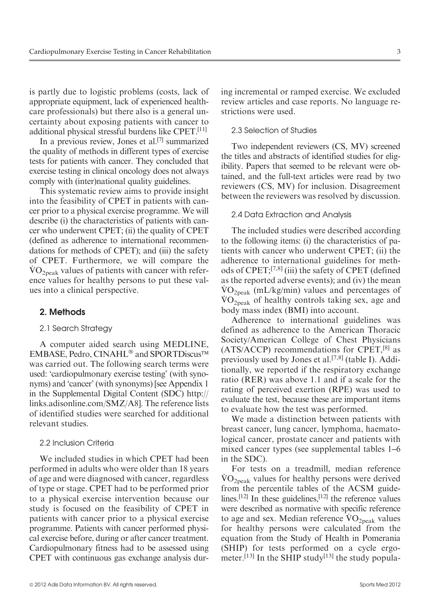is partly due to logistic problems (costs, lack of appropriate equipment, lack of experienced healthcare professionals) but there also is a general uncertainty about exposing patients with cancer to additional physical stressful burdens like CPET.[11]

In a previous review, Jones et al.[7] summarized the quality of methods in different types of exercise tests for patients with cancer. They concluded that exercise testing in clinical oncology does not always comply with (inter)national quality guidelines.

This systematic review aims to provide insight into the feasibility of CPET in patients with cancer prior to a physical exercise programme. We will describe (i) the characteristics of patients with cancer who underwent CPET; (ii) the quality of CPET (defined as adherence to international recommendations for methods of CPET); and (iii) the safety of CPET. Furthermore, we will compare the .  $VO<sub>2peak</sub>$  values of patients with cancer with reference values for healthy persons to put these values into a clinical perspective.

#### 2. Methods

#### [2.1 Search Strategy](http://(SDC) http://links.adisonline.com/SMZ/A8)

A computer aided search using MEDLINE, EMBASE, Pedro, CINAHL<sup>®</sup> and SPORTDiscus™ was carried out. The following search terms were used: 'cardiopulmonary exercise testing' (with synonyms) and 'cancer' (with synonyms) [see Appendix 1 in the Supplemental Digital Content (SDC) http:// links.adisonline.com/SMZ/A8]. The reference lists of identified studies were searched for additional relevant studies.

#### 2.2 Inclusion Criteria

We included studies in which CPET had been performed in adults who were older than 18 years of age and were diagnosed with cancer, regardless of type or stage. CPET had to be performed prior to a physical exercise intervention because our study is focused on the feasibility of CPET in patients with cancer prior to a physical exercise programme. Patients with cancer performed physical exercise before, during or after cancer treatment. Cardiopulmonary fitness had to be assessed using CPET with continuous gas exchange analysis dur-

ing incremental or ramped exercise. We excluded review articles and case reports. No language restrictions were used.

#### 2.3 Selection of Studies

Two independent reviewers (CS, MV) screened the titles and abstracts of identified studies for eligibility. Papers that seemed to be relevant were obtained, and the full-text articles were read by two reviewers (CS, MV) for inclusion. Disagreement between the reviewers was resolved by discussion.

#### 2.4 Data Extraction and Analysis

The included studies were described according to the following items: (i) the characteristics of patients with cancer who underwent CPET; (ii) the adherence to international guidelines for methods of CPET;[7,8] (iii) the safety of CPET (defined as the reported adverse events); and (iv) the mean  $\rm\dot{VO}_{2neak}$  (mL/kg/min) values and percentages of VO2peak of healthy controls taking sex, age and body mass index (BMI) into account.

Adherence to international guidelines was defined as adherence to the American Thoracic Society/American College of Chest Physicians (ATS/ACCP) recommendations for CPET,[8] as previously used by Jones et al.<sup>[7,8]</sup> (table I). Additionally, we reported if the respiratory exchange ratio (RER) was above 1.1 and if a scale for the rating of perceived exertion (RPE) was used to evaluate the test, because these are important items to evaluate how the test was performed.

We made a distinction between patients with breast cancer, lung cancer, lymphoma, haematological cancer, prostate cancer and patients with mixed cancer types (see supplemental tables 1–6 in the SDC).

For tests on a treadmill, median reference  $\rm\dot{VO}_{2peak}$  values for healthy persons were derived from the percentile tables of the ACSM guidelines.<sup>[12]</sup> In these guidelines, $[12]$  the reference values were described as normative with specific reference were described as normalive with specific reference to age and sex. Median reference  $\rm \ddot{VO}_{2peak}$  values for healthy persons were calculated from the equation from the Study of Health in Pomerania (SHIP) for tests performed on a cycle ergometer.<sup>[13]</sup> In the SHIP study<sup>[13]</sup> the study popula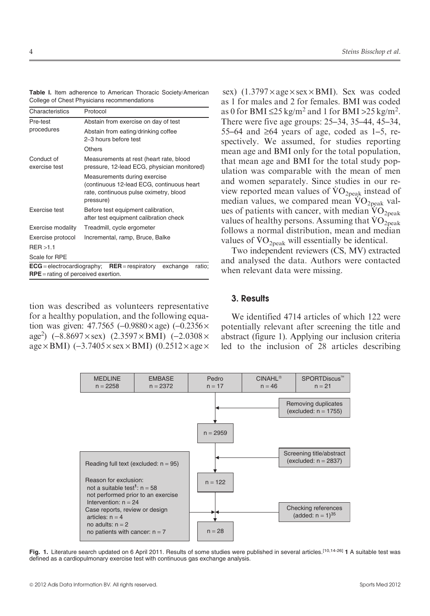Characteristics Protocol

Exercise test Before test

Exercise modality Treadmill Exercise protocol Increment

RPE = rating of perceived exertion.

| tion was described as volunteers representative                                   |
|-----------------------------------------------------------------------------------|
| for a healthy population, and the following equa-                                 |
| tion was given: 47.7565 (-0.9880 $\times$ age) (-0.2356 $\times$                  |
| age <sup>2</sup> ) $(-8.8697 \times$ sex) $(2.3597 \times BMI)$ $(-2.0308 \times$ |
| $\sim$ DMD (2.7405 $\times$ and DMD (0.2512 $\times$ and                          |

ECG = electrocardiography; RER = respiratory exchange ratio;

Table I. Item adherence to American Thoracic Society/American College of Chest Physicians reco

| ence to American Thoracic Society/American<br>vsicians recommendations                                                           | sex) $(1.3797 \times age \times sex \times BMI)$ . Sex was coded<br>as 1 for males and 2 for females. BMI was coded                                                  |
|----------------------------------------------------------------------------------------------------------------------------------|----------------------------------------------------------------------------------------------------------------------------------------------------------------------|
| Protocol                                                                                                                         | as 0 for BMI $\leq$ 25 kg/m <sup>2</sup> and 1 for BMI > 25 kg/m <sup>2</sup> .                                                                                      |
| Abstain from exercise on day of test                                                                                             | There were five age groups: 25–34, 35–44, 45–34,                                                                                                                     |
| Abstain from eating/drinking coffee<br>2-3 hours before test                                                                     | 55–64 and $\geq 64$ years of age, coded as 1–5, re-<br>spectively. We assumed, for studies reporting                                                                 |
| <b>Others</b>                                                                                                                    | mean age and BMI only for the total population,                                                                                                                      |
| Measurements at rest (heart rate, blood<br>pressure, 12-lead ECG, physician monitored)                                           | that mean age and BMI for the total study pop-<br>ulation was comparable with the mean of men                                                                        |
| Measurements during exercise<br>(continuous 12-lead ECG, continuous heart<br>rate, continuous pulse oximetry, blood<br>pressure) | and women separately. Since studies in our re-<br>view reported mean values of $VO_{2peak}$ instead of<br>median values, we compared mean $\rm\dot{VO}_{2peak}$ val- |
| Before test equipment calibration,<br>after test equipment calibration check                                                     | ues of patients with cancer, with median $VO2peak$<br>values of healthy persons. Assuming that $VO2peak$                                                             |
| Treadmill, cycle ergometer                                                                                                       | follows a normal distribution, mean and median                                                                                                                       |
| Incremental, ramp, Bruce, Balke                                                                                                  | values of $\rm\dot{VO}_{2peak}$ will essentially be identical.<br>Two independent reviewers (CS, MV) extracted                                                       |
|                                                                                                                                  |                                                                                                                                                                      |

 $age \times BMI$ ) (-3.7405  $\times$  sex  $\times BMI$ ) (0.2512  $\times$  age  $\times$ 

wers (CS, MV) extracted and analysed the data. Authors were contacted when relevant data were missing.

#### 3. Results

We identified 4714 articles of which 122 were potentially relevant after screening the title and abstract (figure 1). Applying our inclusion criteria led to the inclusion of 28 articles describing





Pre-test procedures

Conduct of exercise test

RER >1.1 Scale for RPE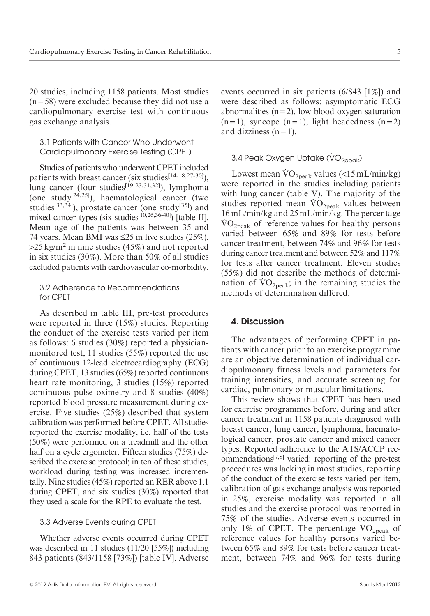20 studies, including 1158 patients. Most studies  $(n = 58)$  were excluded because they did not use a cardiopulmonary exercise test with continuous gas exchange analysis.

3.1 Patients with Cancer Who Underwent Cardiopulmonary Exercise Testing (CPET)

Studies of patients who underwent CPET included patients with breast cancer (six studies<sup>[14-18,27-30]</sup>), lung cancer (four studies<sup>[19-23,31,32]</sup>), lymphoma (one study<sup>[24,25]</sup>), haematological cancer (two studies<sup>[33,34]</sup>), prostate cancer (one study<sup>[35]</sup>) and mixed cancer types (six studies<sup>[10,26,36-40]</sup>) [table II]. Mean age of the patients was between 35 and 74 years. Mean BMI was  $\leq$ 25 in five studies (25%),  $>25 \text{ kg/m}^2$  in nine studies (45%) and not reported in six studies (30%). More than 50% of all studies excluded patients with cardiovascular co-morbidity.

3.2 Adherence to Recommendations for CPET

As described in table III, pre-test procedures were reported in three (15%) studies. Reporting the conduct of the exercise tests varied per item as follows: 6 studies (30%) reported a physicianmonitored test, 11 studies (55%) reported the use of continuous 12-lead electrocardiography (ECG) during CPET, 13 studies (65%) reported continuous heart rate monitoring, 3 studies (15%) reported continuous pulse oximetry and 8 studies (40%) reported blood pressure measurement during exercise. Five studies (25%) described that system calibration was performed before CPET. All studies reported the exercise modality, i.e. half of the tests (50%) were performed on a treadmill and the other half on a cycle ergometer. Fifteen studies (75%) described the exercise protocol; in ten of these studies, workload during testing was increased incrementally. Nine studies (45%) reported an RER above 1.1 during CPET, and six studies (30%) reported that they used a scale for the RPE to evaluate the test.

### 3.3 Adverse Events during CPET

Whether adverse events occurred during CPET was described in 11 studies (11/20 [55%]) including 843 patients (843/1158 [73%]) [table IV]. Adverse

events occurred in six patients (6/843 [1%]) and were described as follows: asymptomatic ECG abnormalities  $(n=2)$ , low blood oxygen saturation  $(n=1)$ , syncope  $(n=1)$ , light headedness  $(n=2)$ and dizziness  $(n=1)$ .

## 3.4 Peak Oxygen Uptake (VO<sub>2peak</sub>)

Lowest mean  $\rm \dot{V}O_{2peak}$  values (<15 mL/min/kg) were reported in the studies including patients with lung cancer (table V). The majority of the with lung cancer (table  $v$ ). The majority of the studies reported mean  $VO_{2peak}$  values between 16 mL/min/kg and 25 mL/min/kg. The percentage .  $VO<sub>2peak</sub>$  of reference values for healthy persons varied between 65% and 89% for tests before cancer treatment, between 74% and 96% for tests during cancer treatment and between 52% and 117% for tests after cancer treatment. Eleven studies (55%) did not describe the methods of determi- $(33\%)$  did not describe the methods of determination of  $VO<sub>2peak</sub>$ ; in the remaining studies the methods of determination differed.

#### 4. Discussion

The advantages of performing CPET in patients with cancer prior to an exercise programme are an objective determination of individual cardiopulmonary fitness levels and parameters for training intensities, and accurate screening for cardiac, pulmonary or muscular limitations.

This review shows that CPET has been used for exercise programmes before, during and after cancer treatment in 1158 patients diagnosed with breast cancer, lung cancer, lymphoma, haematological cancer, prostate cancer and mixed cancer types. Reported adherence to the ATS/ACCP recommendations<sup>[7,8]</sup> varied: reporting of the pre-test procedures was lacking in most studies, reporting of the conduct of the exercise tests varied per item, calibration of gas exchange analysis was reported in 25%, exercise modality was reported in all studies and the exercise protocol was reported in 75% of the studies. Adverse events occurred in  $\frac{75\%}{1\%}$  of the studies. Adverse events occurred in<br>only 1% of CPET. The percentage  $\rm{VO}_{2\text{peak}}$  of reference values for healthy persons varied between 65% and 89% for tests before cancer treatment, between 74% and 96% for tests during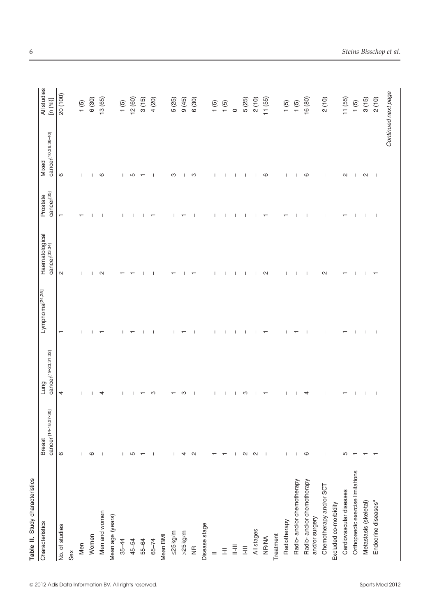| Table II. Study characteristics             |                                       |                                         |                             |                                             |                                    |                                          |                           |
|---------------------------------------------|---------------------------------------|-----------------------------------------|-----------------------------|---------------------------------------------|------------------------------------|------------------------------------------|---------------------------|
| Characteristics                             | cancer [14-18,27-30]<br><b>Breast</b> | cancer <sup>[19-23,31,32]</sup><br>Lung | Lymphoma <sup>[24,25]</sup> | Haematological<br>cancer <sup>[33,34]</sup> | cancer <sup>[35]</sup><br>Prostate | cancer <sup>[10,26,36-40]</sup><br>Mixed | All studies<br>[n $(%)$ ] |
| No. of studies                              | $\circ$                               | 4                                       | $\overline{\phantom{0}}$    | $\sim$                                      | ↽                                  | $\circ$                                  | 20 (100)                  |
| Sex                                         |                                       |                                         |                             |                                             |                                    |                                          |                           |
| Men                                         |                                       |                                         |                             |                                             |                                    |                                          | 1(5)                      |
| Women                                       | ശ                                     |                                         |                             |                                             |                                    |                                          | 6(30)                     |
| Men and women                               |                                       | 4                                       |                             | $\sim$                                      |                                    | ဖ                                        | 13 (65)                   |
| Mean age (years)                            |                                       |                                         |                             |                                             |                                    |                                          |                           |
| $35 - 44$                                   |                                       |                                         |                             |                                             |                                    |                                          | 1(5)                      |
| 45-54                                       | ഥ                                     |                                         |                             |                                             |                                    | Ю                                        | 12(60)                    |
| 55-64                                       |                                       |                                         |                             |                                             |                                    |                                          | 3(15)                     |
| $65 - 74$                                   |                                       | ო                                       |                             |                                             |                                    |                                          | 4 (20)                    |
| Mean BMI                                    |                                       |                                         |                             |                                             |                                    |                                          |                           |
| $\leq$ 25 kg/m                              |                                       |                                         |                             |                                             |                                    | ო                                        | 5 (25)                    |
| $>25$ kg/m                                  |                                       |                                         |                             |                                             |                                    |                                          | (45)                      |
| $rac{\pi}{2}$                               |                                       |                                         |                             |                                             |                                    | S                                        | 6(30)                     |
| Disease stage                               |                                       |                                         |                             |                                             |                                    |                                          |                           |
| $\frac{1}{2}$                               |                                       |                                         |                             |                                             |                                    |                                          | 1(5)                      |
| $\bar{\Xi}$                                 |                                       |                                         |                             |                                             |                                    |                                          | 1(5)                      |
| $\bar{\Xi}$                                 |                                       |                                         |                             |                                             |                                    |                                          | $\circ$                   |
| $\equiv$                                    |                                       | ო                                       |                             |                                             |                                    |                                          | 5 (25)                    |
| All stages                                  | $\sim$                                |                                         |                             |                                             |                                    |                                          | 2(10)                     |
| <b>NR/NA</b>                                |                                       |                                         |                             | N                                           |                                    | ဖ                                        | 11(55)                    |
| Treatment                                   |                                       |                                         |                             |                                             |                                    |                                          |                           |
| Radiotherapy                                |                                       |                                         |                             |                                             |                                    |                                          | 1(5)                      |
| Radio-and/or chemotherapy                   |                                       |                                         |                             |                                             |                                    |                                          | 1(5)                      |
| Radio-and/or chemotherapy<br>and/or surgery | ဖ                                     | 4                                       |                             |                                             |                                    | G                                        | 16 (80)                   |
| Chemotherapy and/or SCT                     |                                       |                                         |                             | $\mathbf{\Omega}$                           |                                    |                                          | 2(10)                     |
| Excluded co-morbidity                       |                                       |                                         |                             |                                             |                                    |                                          |                           |
| Cardiovascular diseases                     | LO                                    |                                         |                             |                                             |                                    | $\mathbf{c}$                             | 11(55)                    |
| Orthopaedic exercise limitations            |                                       |                                         |                             |                                             |                                    | $\mathbf{I}$                             | 1(5)                      |
| Metastasis (skeletal)                       |                                       |                                         |                             |                                             | $\overline{\phantom{a}}$           | $\mathbf{\Omega}$                        | 3(15)                     |
| Endocrine diseases <sup>a</sup>             |                                       |                                         |                             |                                             | ı                                  | - 1                                      | 2(10)                     |
|                                             |                                       |                                         |                             |                                             |                                    |                                          | Continued next page       |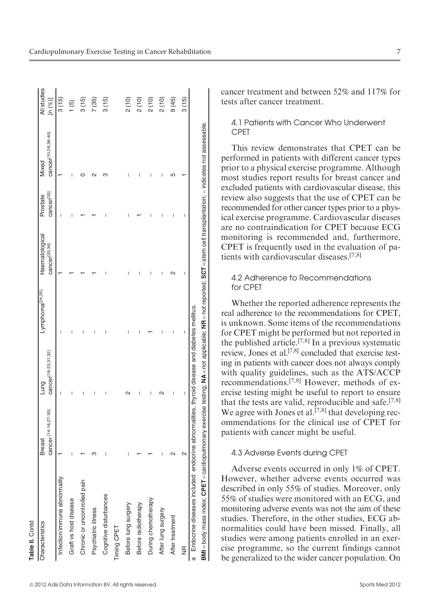| © 2012 Adis Data Information BV. All rights reserved. | Sports Med 2012 |
|-------------------------------------------------------|-----------------|

| Characteristics              | cancer [14-18,27-30]<br><b>Breast</b> | cancer[19-23,31,32]<br>Lung | Lymphoma <sup>[24,25]</sup> | Haematological<br>cancer <sup>[33,34]</sup> | cancer <sup>[35]</sup><br>Prostate | cancer[10,26,36-40]<br>Mixed | All studies<br>[n $(\%)$ |
|------------------------------|---------------------------------------|-----------------------------|-----------------------------|---------------------------------------------|------------------------------------|------------------------------|--------------------------|
| Infection/immune abnormality |                                       | I                           |                             |                                             |                                    |                              | 3(15)                    |
| Graft vs host disease        |                                       | I                           | I                           |                                             |                                    | I                            | ۱ (5)                    |
| Chronic or uncontrolled pain |                                       | I                           | ı                           |                                             |                                    |                              | 3(15)                    |
| Psychiatric illness          |                                       | I                           | I                           |                                             |                                    | c                            | 7 (35)                   |
| Cognitive disturbances       |                                       | I                           | I                           |                                             |                                    |                              | 3(15)                    |
| Timing CPET                  |                                       |                             |                             |                                             |                                    |                              |                          |
| Before lung surgery          |                                       | $\sim$                      | I                           | Ï                                           |                                    | I                            | 2(10)                    |
| Before radiotherapy          |                                       | ı                           |                             | I                                           |                                    | ı                            | 2(10)                    |
| During chemotherapy          |                                       | I                           |                             | I                                           |                                    | ı                            | 2(10)                    |
| After lung surgery           |                                       | $\sim$                      |                             | I                                           |                                    | ı                            | 2(10)                    |
| After treatment              |                                       | I                           | I                           |                                             | I                                  |                              | 9(45)                    |
| $\frac{\alpha}{2}$           | 2                                     | I                           | I                           | I                                           | I                                  |                              | 3(15)                    |

cancer treatment and between 52% and 117% for tests after cancer treatment.

#### 4.1 Patients with Cancer Who Underwent CPET

This review demonstrates that CPET can be performed in patients with different cancer types prior to a physical exercise programme. Although most studies report results for breast cancer and excluded patients with cardiovascular disease, this review also suggests that the use of CPET can be recommended for other cancer types prior to a physical exercise programme. Cardiovascular diseases are no contraindication for CPET because ECG monitoring is recommended and, furthermore, CPET is frequently used in the evaluation of patients with cardiovascular diseases.[7,8]

#### 4.2 Adherence to Recommendations for CPET

Whether the reported adherence represents the real adherence to the recommendations for CPET, is unknown. Some items of the recommendations for CPET might be performed but not reported in the published article.<sup>[7,8]</sup> In a previous systematic review, Jones et al.[7,8] concluded that exercise testing in patients with cancer does not always comply with quality guidelines, such as the ATS/ACCP recommendations.[7,8] However, methods of exercise testing might be useful to report to ensure that the tests are valid, reproducible and safe.<sup>[7,8]</sup> We agree with Jones et al.<sup>[7,8]</sup> that developing recommendations for the clinical use of CPET for patients with cancer might be useful.

#### 4.3 Adverse Events during CPET

Adverse events occurred in only 1% of CPET. However, whether adverse events occurred was described in only 55% of studies. Moreover, only 55% of studies were monitored with an ECG, and monitoring adverse events was not the aim of these studies. Therefore, in the other studies, ECG abnormalities could have been missed. Finally, all studies were among patients enrolled in an exercise programme, so the current findings cannot be generalized to the wider cancer population. On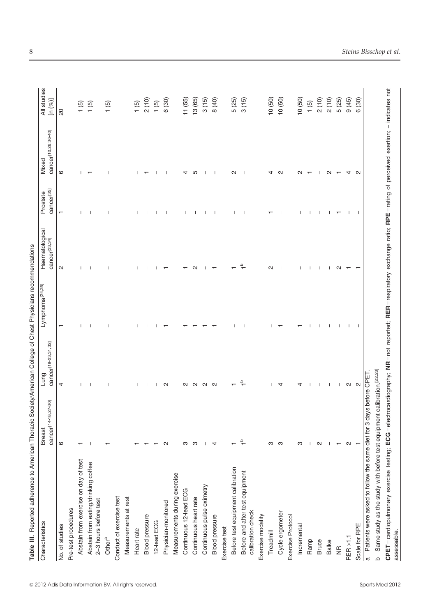| Characteristics                                                              | cancer <sup>[14-18,27-30]</sup><br><b>Breast</b> | cancer <sup>[19-23,31,32]</sup><br>Lung                                                                                              | Lymphoma <sup>[24,25]</sup> | Haematological<br>cancer <sup>[33,34]</sup> | cancer <sup>[35]</sup><br>Prostate | cancer <sup>[10,26,36-40]</sup><br>Mixed | All studies<br>[n $($ %)] |
|------------------------------------------------------------------------------|--------------------------------------------------|--------------------------------------------------------------------------------------------------------------------------------------|-----------------------------|---------------------------------------------|------------------------------------|------------------------------------------|---------------------------|
| No. of studies                                                               | $\circ$                                          | 4                                                                                                                                    |                             | $\sim$                                      |                                    | $\circ$                                  | $\overline{c}$            |
| Pre-test procedures                                                          |                                                  |                                                                                                                                      |                             |                                             |                                    |                                          |                           |
| test<br>Abstain from exercise on day of                                      |                                                  |                                                                                                                                      |                             |                                             |                                    |                                          | $\frac{1}{5}$             |
| lee<br>Abstain from eating/drinking coff<br>2-3 hours before test            |                                                  |                                                                                                                                      |                             |                                             |                                    |                                          | 1(5)                      |
| Other <sup>a</sup>                                                           |                                                  |                                                                                                                                      |                             |                                             |                                    |                                          | 1(5)                      |
| Conduct of exercise test                                                     |                                                  |                                                                                                                                      |                             |                                             |                                    |                                          |                           |
| Measurements at rest                                                         |                                                  |                                                                                                                                      |                             |                                             |                                    |                                          |                           |
| Heart rate                                                                   |                                                  |                                                                                                                                      |                             |                                             |                                    |                                          | 1(5)                      |
| <b>Blood pressure</b>                                                        |                                                  |                                                                                                                                      |                             |                                             |                                    |                                          | 2(10)                     |
| 12-lead ECG                                                                  |                                                  |                                                                                                                                      |                             |                                             |                                    |                                          | (5)1                      |
| Physician-monitored                                                          |                                                  | $\sim$                                                                                                                               |                             |                                             |                                    |                                          | 6 (30)                    |
| Measurements during exercise                                                 |                                                  |                                                                                                                                      |                             |                                             |                                    |                                          |                           |
| Continuous 12-lead ECG                                                       | ო                                                |                                                                                                                                      |                             |                                             |                                    |                                          | 11(55)                    |
| Continuous heart rate                                                        | m                                                |                                                                                                                                      |                             |                                             |                                    | Ю                                        | 13(65)                    |
| Continuous pulse oximetry                                                    |                                                  |                                                                                                                                      |                             |                                             |                                    |                                          | 3(15)                     |
| <b>Blood pressure</b>                                                        |                                                  | $\sim$                                                                                                                               |                             |                                             |                                    |                                          | 8 (40)                    |
| Exercise test                                                                |                                                  |                                                                                                                                      |                             |                                             |                                    |                                          |                           |
| Before test equipment calibration                                            |                                                  |                                                                                                                                      |                             |                                             |                                    | N                                        | 5 (25)                    |
| Before and after test equipment<br>calibration check                         |                                                  |                                                                                                                                      |                             |                                             |                                    |                                          | 3(15)                     |
| Exercise modality                                                            |                                                  |                                                                                                                                      |                             |                                             |                                    |                                          |                           |
| Treadmill                                                                    | m                                                |                                                                                                                                      |                             | $\mathbf{c}$                                |                                    |                                          | 10(50)                    |
| Cycle ergometer                                                              | S                                                |                                                                                                                                      |                             |                                             |                                    | $\sim$                                   | 10(50)                    |
| Exercise Protocol                                                            |                                                  |                                                                                                                                      |                             |                                             |                                    |                                          |                           |
| Incremental                                                                  | ო                                                |                                                                                                                                      |                             |                                             |                                    | $\sim$                                   | 10(50)                    |
| Ramp                                                                         |                                                  |                                                                                                                                      |                             |                                             |                                    |                                          | 1(5)                      |
| Bruce                                                                        | $\sim$                                           |                                                                                                                                      |                             |                                             |                                    |                                          | 2(10)                     |
| <b>Balke</b>                                                                 |                                                  |                                                                                                                                      |                             |                                             |                                    |                                          | 2(10)                     |
| $\frac{\alpha}{2}$                                                           |                                                  | $\mathbf{I}$                                                                                                                         |                             | $\sim$                                      |                                    |                                          | 5 (25)                    |
| RER <sub>&gt;1.1</sub>                                                       | N                                                | $\sim$                                                                                                                               |                             |                                             |                                    | 4                                        | 9(45)                     |
| Scale for RPE                                                                |                                                  | Z                                                                                                                                    |                             |                                             |                                    | $\sim$                                   | 6(30)                     |
| a Patients were asked to follow the same diet for 3 days before CPET         |                                                  |                                                                                                                                      |                             |                                             |                                    |                                          |                           |
| Same study as the study with before test equipment calibration. [22,23]<br>م |                                                  |                                                                                                                                      |                             |                                             |                                    |                                          |                           |
| CPET = cardiopulmonary exercise<br>assessable.                               |                                                  | testing; ECG=electrocardiography; NR=not reported; RER=respiratory exchange ratio; RPE=rating of perceived exertion; - indicates not |                             |                                             |                                    |                                          |                           |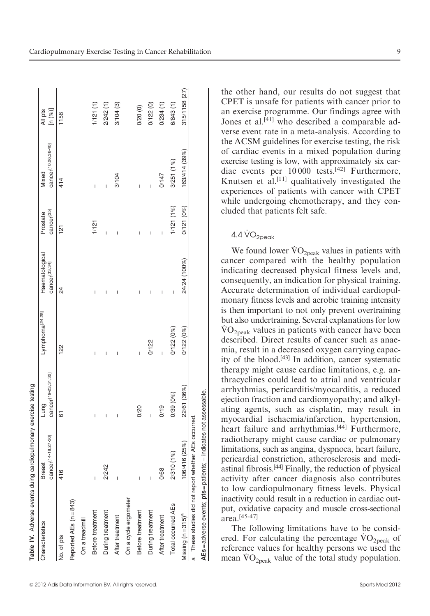| Table IV. Adverse events duing cardiopulmonary exercise testing   |                                           |                                         |                             |                                             |                                    |                              |                        |
|-------------------------------------------------------------------|-------------------------------------------|-----------------------------------------|-----------------------------|---------------------------------------------|------------------------------------|------------------------------|------------------------|
| Characteristics                                                   | cancer <sup>[14-18,27-30]</sup><br>Breast | cancer <sup>[19-23,31,32]</sup><br>Lung | Lymphoma <sup>[24,25]</sup> | Haematological<br>cancer <sup>[33,34]</sup> | cancer <sup>[35]</sup><br>Prostate | cancer[10,26,36-40]<br>Mixed | [n $(\%)$ ]<br>All pts |
| No. of pts                                                        | 416                                       | 61                                      | 122                         | 24                                          | $\frac{1}{2}$                      | 414                          | 1158                   |
| Reported AEs (n = 843)                                            |                                           |                                         |                             |                                             |                                    |                              |                        |
| On a treadmill                                                    |                                           |                                         |                             |                                             |                                    |                              |                        |
| Before treatment                                                  |                                           | I                                       | I                           | I                                           | 1/121                              | I                            | 1/121(1)               |
| During treatment                                                  | 2/242                                     | I                                       | I                           |                                             |                                    | I                            | 2/242(1)               |
| After treatment                                                   |                                           |                                         |                             |                                             | ľ                                  | 3/104                        | 3/104(3)               |
| On a cycle ergometer                                              |                                           |                                         |                             |                                             |                                    |                              |                        |
| Before treatment                                                  |                                           | 0/20                                    |                             |                                             |                                    |                              | 0/20(0)                |
| During treatment                                                  |                                           | Ī                                       | 0/122                       | I                                           |                                    | I                            | 0/122(0)               |
| After treatment                                                   | 0/68                                      | 0/19                                    | I                           | I                                           | I                                  | 0/147                        | 0/234(1)               |
| Total occurred AEs                                                | 2/310 (1%)                                | 0/39(0%)                                | 0/122(0%)                   | I                                           | 1/121(1%)                          | 3/251 (1%)                   | 6/843(1)               |
| Missing $(n = 315)^a$                                             | 106/416 (25%)                             | 22/61 (36%)                             | 0/122(0%)                   | 24/24 (100%)                                | 0/121(0%)                          | 163/414 (39%)                | 315/1158 (27)          |
| These studies did not report whether AEs occurred.                |                                           |                                         |                             |                                             |                                    |                              |                        |
| AEs = adverse events; pts = patients; - indicates not assessable. |                                           |                                         |                             |                                             |                                    |                              |                        |

ª 2012 Adis Data Information BV. All rights reserved. Sports Med 2012

the other hand, our results do not suggest that CPET is unsafe for patients with cancer prior to an exercise programme. Our findings agree with Jones et al.<sup>[41]</sup> who described a comparable adverse event rate in a meta-analysis. According to the ACSM guidelines for exercise testing, the risk of cardiac events in a mixed population during exercise testing is low, with approximately six cardiac events per 10 000 tests.[42] Furthermore, Knutsen et al.<sup>[11]</sup> qualitatively investigated the experiences of patients with cancer with CPET while undergoing chemotherapy, and they concluded that patients felt safe.

## $4.4\,\rm{VO}_{2\text{peak}}$

We found lower  $\rm \dot{V}O_{2peak}$  values in patients with cancer compared with the healthy population indicating decreased physical fitness levels and, consequently, an indication for physical training. Accurate determination of individual cardiopulmonary fitness levels and aerobic training intensity is then important to not only prevent overtraining but also undertraining. Several explanations for low .  $\rm \dot{VO}_{2neak}$  values in patients with cancer have been described. Direct results of cancer such as anaemia, result in a decreased oxygen carrying capacity of the blood.[43] In addition, cancer systematic therapy might cause cardiac limitations, e.g. anthracyclines could lead to atrial and ventricular arrhythmias, pericarditis/myocarditis, a reduced ejection fraction and cardiomyopathy; and alkylating agents, such as cisplatin, may result in myocardial ischaemia/infarction, hypertension, heart failure and arrhythmias.<sup>[44]</sup> Furthermore, radiotherapy might cause cardiac or pulmonary limitations, such as angina, dyspnoea, heart failure, pericardial constriction, atherosclerosis and mediastinal fibrosis.[44] Finally, the reduction of physical activity after cancer diagnosis also contributes to low cardiopulmonary fitness levels. Physical inactivity could result in a reduction in cardiac output, oxidative capacity and muscle cross-sectional area.[45-47]

The following limitations have to be consid-The following limitations have to be considered. For calculating the percentage  $\rm{VO}_{2\rm{peak}}$  of reference values for healthy persons we used the reference values for healthy persons we used the mean  $\rm \ddot{V}O_{2peak}$  value of the total study population.

 $\sim$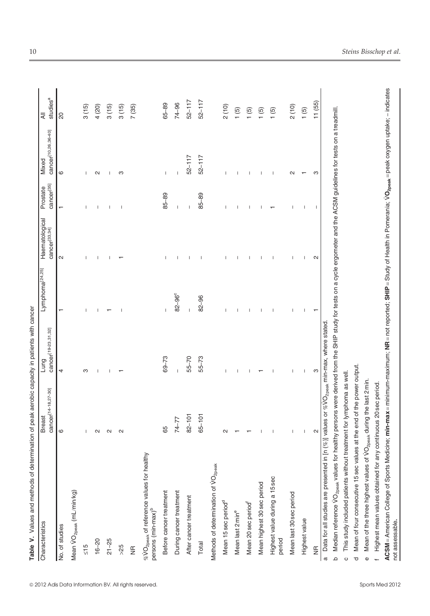| Characteristics                                                                                                                                                                        | cancer <sup>[14-18,27-30]</sup><br><b>Breast</b> | cancer <sup>[19-23,31,32]</sup><br>Lung | Lymphoma <sup>[24,25]</sup> | Haematological<br>cancer <sup>[33,34]</sup> | cancer <sup>[35]</sup><br>Prostate | cancer <sup>[10,26,36-40]</sup><br>Mixed | studies <sup>a</sup><br>$\overline{4}$ |
|----------------------------------------------------------------------------------------------------------------------------------------------------------------------------------------|--------------------------------------------------|-----------------------------------------|-----------------------------|---------------------------------------------|------------------------------------|------------------------------------------|----------------------------------------|
| No. of studies                                                                                                                                                                         | $\circ$                                          | 4                                       |                             | $\sim$                                      |                                    | $\circ$                                  | 20                                     |
| Mean VO <sub>2peak</sub> (mL/min/kg)                                                                                                                                                   |                                                  |                                         |                             |                                             |                                    |                                          |                                        |
| $rac{15}{5}$                                                                                                                                                                           |                                                  | S                                       |                             |                                             |                                    |                                          | 3(15)                                  |
| $16 - 20$                                                                                                                                                                              | $\sim$                                           |                                         |                             |                                             |                                    | $\sim$                                   | 4 (20)                                 |
| $21 - 25$                                                                                                                                                                              | $\sim$                                           |                                         |                             |                                             |                                    |                                          | 3(15)                                  |
| $>25$                                                                                                                                                                                  | $\mathbf{\Omega}$                                |                                         |                             |                                             | ı                                  | co                                       | 3(15)                                  |
| $\frac{\alpha}{2}$                                                                                                                                                                     |                                                  |                                         |                             |                                             |                                    |                                          | 7(35)                                  |
| $\%$ VO <sub>2peak</sub> of reference values for healthy<br>persons (min-max) <sup>b</sup>                                                                                             |                                                  |                                         |                             |                                             |                                    |                                          |                                        |
| Before cancer treatment                                                                                                                                                                | 89                                               | $69 - 73$                               | Ť                           |                                             | 85-89                              | I                                        | 65-89                                  |
| During cancer treatment                                                                                                                                                                | 74-77                                            | $\overline{1}$                          | $82 - 96^\circ$             |                                             |                                    |                                          | 74-96                                  |
| After cancer treatment                                                                                                                                                                 | $82 - 101$                                       | 55-70                                   | $\overline{\phantom{a}}$    |                                             |                                    | $52 - 117$                               | $52 - 117$                             |
| Total                                                                                                                                                                                  | $65 - 101$                                       | 55-73                                   | $82 - 96$                   |                                             | 85-89                              | $52 - 117$                               | $52 - 117$                             |
| Methods of determination of VO <sub>2peak</sub>                                                                                                                                        |                                                  |                                         |                             |                                             |                                    |                                          |                                        |
| Mean 15 sec period <sup>d</sup>                                                                                                                                                        | $\sim$                                           | ı                                       |                             |                                             |                                    |                                          | 2(10)                                  |
| Mean last 2 min <sup>e</sup>                                                                                                                                                           |                                                  |                                         |                             |                                             |                                    |                                          | 1(5)                                   |
| Mean 20 sec period <sup>1</sup>                                                                                                                                                        |                                                  |                                         |                             |                                             |                                    |                                          | $\overline{5}$                         |
| Mean highest 30 sec period                                                                                                                                                             |                                                  |                                         |                             |                                             |                                    |                                          | $\overline{5}$                         |
| Highest value during a 15 sec<br>period                                                                                                                                                |                                                  |                                         |                             |                                             |                                    |                                          | 1(5)                                   |
| Mean last 30 sec period                                                                                                                                                                |                                                  | J.                                      |                             |                                             |                                    | N                                        | 2(10)                                  |
| Highest value                                                                                                                                                                          | $\mathsf{I}$                                     | $\mathsf{I}$                            |                             |                                             |                                    |                                          | 1(5)                                   |
| $\frac{\alpha}{2}$                                                                                                                                                                     | $\mathbf{\Omega}$                                | S                                       |                             | N                                           | 1                                  | S                                        | 11(55)                                 |
| Data for all studies are presented in [n (%)] values or %VO <sub>2peak</sub> min-max, where stated<br>$\varpi$                                                                         |                                                  |                                         |                             |                                             |                                    |                                          |                                        |
| Median reference VO <sub>2peak</sub> values for healthy persons were derived from the SHIP study for tests on a cycle ergometer and the ACSM guidelines for tests on a treadmill.<br>م |                                                  |                                         |                             |                                             |                                    |                                          |                                        |
| This study included patients without treatment for lymphoma as well<br>$\circ$                                                                                                         |                                                  |                                         |                             |                                             |                                    |                                          |                                        |
| Mean of four consecutive 15 sec values at the end of the power output.<br>$\overline{\sigma}$                                                                                          |                                                  |                                         |                             |                                             |                                    |                                          |                                        |
| Mean of the three highest values of VO <sub>2peak</sub> during the last 2 min.<br>$\mathbb O$                                                                                          |                                                  |                                         |                             |                                             |                                    |                                          |                                        |
| Highest mean values obtained for any continuous 20 sec period.                                                                                                                         |                                                  |                                         |                             |                                             |                                    |                                          |                                        |

Table V. Values and methods of determination of peak aerobic capacity in patients with cancer Table V. Values and methods of determination of peak aerobic capacity in patients with cancer ACSM = American College of Sports Medicine; min-max = minimum-maximum; NR = not reported; SHIP =Study of Health in Pomerania;

.

 $VO_{2\text{peak}}$  = peak oxygen uptake; - indicates

not assessable.

not assessable.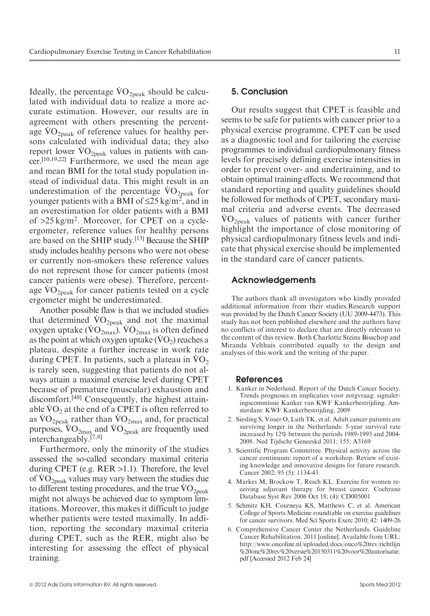Ideally, the percentage  $\rm \dot{V}O_{2peak}$  should be calculated with individual data to realize a more accurate estimation. However, our results are in agreement with others presenting the percentagreement with others presenting the percent-<br>age  $\rm{VO_{2peak}}$  of reference values for healthy persons calculated with individual data; they also sons calculated with individual data; they also<br>report lower  $\rm \dot{VO}_{2peak}$  values in patients with cancer.[10,19,22] Furthermore, we used the mean age and mean BMI for the total study population instead of individual data. This might result in an stead of multiplata data. This implies is the formulation of the percentage  $\rm{VO}_{2\rm{peak}}$  for younger patients with a BMI of  $\leq$ 25 kg/m<sup>2</sup>, and in an overestimation for older patients with a BMI of >25 kg/m<sup>2</sup>. Moreover, for CPET on a cycleergometer, reference values for healthy persons are based on the SHIP study.[13] Because the SHIP study includes healthy persons who were not obese or currently non-smokers these reference values do not represent those for cancer patients (most cancer patients were obese). Therefore, percentcancer patients were obese). Therefore, percent-<br>age VO<sub>2peak</sub> for cancer patients tested on a cycle ergometer might be underestimated.

Another possible flaw is that we included studies Another possible haw is that we included studies<br>that determined  $\rm{VO}_{2peak}$  and not the maximal that determined  $VO_{2\text{peak}}$  and not the maximal oxygen uptake  $(\text{VO}_{2\text{max}})$ .  $\text{VO}_{2\text{max}}$  is often defined oxygen uptake ( $\rm{VO}_{2max}$ ).  $\rm{VO}_{2max}$  is often defined as the point at which oxygen uptake ( $\rm{VO}_2$ ) reaches a plateau, despite a further increase in work rate plateau, despite a further increase in work rate<br>during CPET. In patients, such a plateau in  $\rm\ddot{VO}_2$ is rarely seen, suggesting that patients do not always attain a maximal exercise level during CPET because of premature (muscular) exhaustion and discomfort.[48] Consequently, the highest attaindiscomfort.  $\frac{1}{2}$  Consequently, the inglest attainable  $\overline{VO_2}$  at the end of a CPET is often referred to able  $\rm{VO}_{2}$  at the end of a CPET is often referred to as  $\rm{VO}_{2peak}$  rather than  $\rm{VO}_{2max}$  and, for practical as  $\rm{VO}_{2\rm{peak}}$  rather than  $\rm{VO}_{2\rm{max}}$  and, for practical purposes,  $\rm{VO}_{2\rm{max}}$  and  $\rm{VO}_{2\rm{peak}}$  are frequently used interchangeably.[7,8]

Furthermore, only the minority of the studies assessed the so-called secondary maximal criteria during CPET (e.g. RER >1.1). Therefore, the level during CPET (e.g. KER >1.1). Therefore, the level<br>of  $\rm{VO_{2peak}}$  values may vary between the studies due of  $\rm{VO_{2peak}}$  values may vary between the studies due<br>to different testing procedures, and the true  $\rm{VO_{2peak}}$ might not always be achieved due to symptom limitations. Moreover, this makes it difficult to judge whether patients were tested maximally. In addition, reporting the secondary maximal criteria during CPET, such as the RER, might also be interesting for assessing the effect of physical training.

#### 5. Conclusion

Our results suggest that CPET is feasible and seems to be safe for patients with cancer prior to a physical exercise programme. CPET can be used as a diagnostic tool and for tailoring the exercise programmes to individual cardiopulmonary fitness levels for precisely defining exercise intensities in order to prevent over- and undertraining, and to obtain optimal training effects. We recommend that standard reporting and quality guidelines should be followed for methods of CPET, secondary maximal criteria and adverse events. The decreased  $\rm\dot{VO}_{2peak}$  values of patients with cancer further highlight the importance of close monitoring of physical cardiopulmonary fitness levels and indicate that physical exercise should be implemented in the standard care of cancer patients.

#### Acknowledgements

The authors thank all investigators who kindly provided additional information from their studies.Research support was provided by the Dutch Cancer Society (UU 2009-4473). This study has not been published elsewhere and the authors have no conflicts of interest to declare that are directly relevant to the content of this review. Both Charlotte Steins Bisschop and Miranda Velthuis contributed equally to the design and analyses of this work and the writing of the paper.

#### References

- 1. Kanker in Nederland. Report of the Dutch Cancer Society. Trends prognoses en implicaties voor zorgvraag: signaleringscommissie Kanker van KWF Kankerbestrijding. Amsterdam: KWF Kankerbestrijding, 2009
- 2. Siesling S, Visser O, Luth TK, et al. Adult cancer patients are surviving longer in the Netherlands: 5-year survival rate increased by 12% between the periods 1989-1993 and 2004- 2008. Ned Tijdschr Geneeskd 2011; 155: A3169
- 3. Scientific Program Committee. Physical activity across the cancer continuum: report of a workshop. Review of existing knowledge and innovative designs for future research. [Cancer 2002; 95 \(5\): 1134-43](http://www.oncoline.nl/uploaded/docs/onco%20rev/richtlijn%20onc%20rev%20versie%20150311%20voor%20autorisatie.pdf)
- 4. [Markes M, Brockow T, Resch KL. Exercise for women re](http://www.oncoline.nl/uploaded/docs/onco%20rev/richtlijn%20onc%20rev%20versie%20150311%20voor%20autorisatie.pdf)[ceiv](http://www.oncoline.nl/uploaded/docs/onco%20rev/richtlijn%20onc%20rev%20versie%20150311%20voor%20autorisatie.pdf)ing adjuvant therapy for breast cancer. Cochrane Database Syst Rev 2006 Oct 18; (4): CD005001
- 5. Schmitz KH, Courneya KS, Matthews C, et al. American College of Sports Medicine roundtable on exercise guidelines for cancer survivors. Med Sci Sports Exerc 2010; 42: 1409-26
- 6. Comprehensive Cancer Center the Netherlands. Guideline Cancer Rehabilitation. 2011 [online]. Available from URL: http://www.oncoline.nl/uploaded/docs/onco%20rev/richtlijn %20onc%20rev%20versie%20150311%20voor%20autorisatie. pdf [Accessed 2012 Feb 24]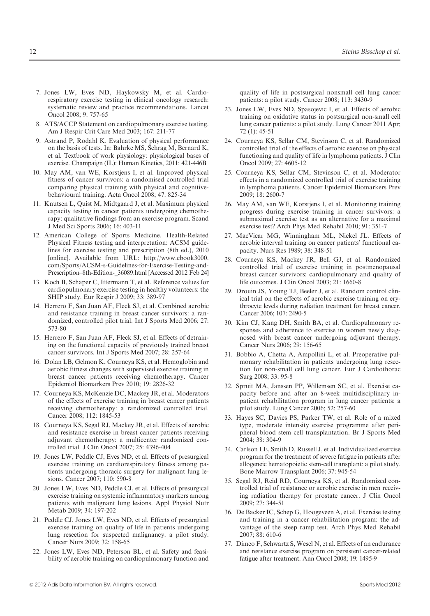- 7. Jones LW, Eves ND, Haykowsky M, et al. Cardiorespiratory exercise testing in clinical oncology research: systematic review and practice recommendations. Lancet Oncol 2008; 9: 757-65
- 8. ATS/ACCP Statement on cardiopulmonary exercise testing. Am J Respir Crit Care Med 2003; 167: 211-77
- 9. Astrand P, Rodahl K. Evaluation of physical performance on the basis of tests. In: Bahrke MS, Schrag M, Bernard K, et al. Textbook of work physiology: physiological bases of exercise. Champaign (IL): Human Kinetics, 2011: 421-446B
- 10. May AM, van WE, Korstjens I, et al. Improved physical fitness of cancer survivors: a randomised controlled trial comparing physical training with [physical and cognitive](http://www.ebook3000.com/Sports/ACSM-s-Guidelines-for-Exercise-Testing-and-Prescription--8th-Edition-_36089.html)[behavioural training. Acta Oncol 2008; 47: 825-34](http://www.ebook3000.com/Sports/ACSM-s-Guidelines-for-Exercise-Testing-and-Prescription--8th-Edition-_36089.html)
- 11. [Knutsen L, Quist M, Midtgaard J, et](http://www.ebook3000.com/Sports/ACSM-s-Guidelines-for-Exercise-Testing-and-Prescription--8th-Edition-_36089.html) al. Maximum physical capacity testing in cancer patients undergoing chemotherapy: qualitative findings from an exercise program. Scand J Med Sci Sports 2006; 16: 403-11
- 12. American College of Sports Medicine. Health-Related Physical Fitness testing and interpretation: ACSM guidelines for exercise testing and prescription (8th ed.), 2010 [online]. Available from URL: http://www.ebook3000. com/Sports/ACSM-s-Guidelines-for-Exercise-Testing-and-Prescription–8th-Edition-\_36089.html [Accessed 2012 Feb 24]
- 13. Koch B, Schaper C, Ittermann T, et al. Reference values for cardiopulmonary exercise testing in healthy volunteers: the SHIP study. Eur Respir J 2009; 33: 389-97
- 14. Herrero F, San Juan AF, Fleck SJ, et al. Combined aerobic and resistance training in breast cancer survivors: a randomized, controlled pilot trial. Int J Sports Med 2006; 27: 573-80
- 15. Herrero F, San Juan AF, Fleck SJ, et al. Effects of detraining on the functional capacity of previously trained breast cancer survivors. Int J Sports Med 2007; 28: 257-64
- 16. Dolan LB, Gelmon K, Courneya KS, et al. Hemoglobin and aerobic fitness changes with supervised exercise training in breast cancer patients receiving chemotherapy. Cancer Epidemiol Biomarkers Prev 2010; 19: 2826-32
- 17. Courneya KS, McKenzie DC, Mackey JR, et al. Moderators of the effects of exercise training in breast cancer patients receiving chemotherapy: a randomized controlled trial. Cancer 2008; 112: 1845-53
- 18. Courneya KS, Segal RJ, Mackey JR, et al. Effects of aerobic and resistance exercise in breast cancer patients receiving adjuvant chemotherapy: a multicenter randomized controlled trial. J Clin Oncol 2007; 25: 4396-404
- 19. Jones LW, Peddle CJ, Eves ND, et al. Effects of presurgical exercise training on cardiorespiratory fitness among patients undergoing thoracic surgery for malignant lung lesions. Cancer 2007; 110: 590-8
- 20. Jones LW, Eves ND, Peddle CJ, et al. Effects of presurgical exercise training on systemic inflammatory markers among patients with malignant lung lesions. Appl Physiol Nutr Metab 2009; 34: 197-202
- 21. Peddle CJ, Jones LW, Eves ND, et al. Effects of presurgical exercise training on quality of life in patients undergoing lung resection for suspected malignancy: a pilot study. Cancer Nurs 2009; 32: 158-65
- 22. Jones LW, Eves ND, Peterson BL, et al. Safety and feasibility of aerobic training on cardiopulmonary function and

quality of life in postsurgical nonsmall cell lung cancer patients: a pilot study. Cancer 2008; 113: 3430-9

- 23. Jones LW, Eves ND, Spasojevic I, et al. Effects of aerobic training on oxidative status in postsurgical non-small cell lung cancer patients: a pilot study. Lung Cancer 2011 Apr; 72 (1): 45-51
- 24. Courneya KS, Sellar CM, Stevinson C, et al. Randomized controlled trial of the effects of aerobic exercise on physical functioning and quality of life in lymphoma patients. J Clin Oncol 2009; 27: 4605-12
- 25. Courneya KS, Sellar CM, Stevinson C, et al. Moderator effects in a randomized controlled trial of exercise training in lymphoma patients. Cancer Epidemiol Biomarkers Prev 2009; 18: 2600-7
- 26. May AM, van WE, Korstjens I, et al. Monitoring training progress during exercise training in cancer survivors: a submaximal exercise test as an alternative for a maximal exercise test? Arch Phys Med Rehabil 2010; 91: 351-7
- 27. MacVicar MG, Winningham ML, Nickel JL. Effects of aerobic interval training on cancer patients' functional capacity. Nurs Res 1989; 38: 348-51
- 28. Courneya KS, Mackey JR, Bell GJ, et al. Randomized controlled trial of exercise training in postmenopausal breast cancer survivors: cardiopulmonary and quality of life outcomes. J Clin Oncol 2003; 21: 1660-8
- 29. Drouin JS, Young TJ, Beeler J, et al. Random control clinical trial on the effects of aerobic exercise training on erythrocyte levels during radiation treatment for breast cancer. Cancer 2006; 107: 2490-5
- 30. Kim CJ, Kang DH, Smith BA, et al. Cardiopulmonary responses and adherence to exercise in women newly diagnosed with breast cancer undergoing adjuvant therapy. Cancer Nurs 2006; 29: 156-65
- 31. Bobbio A, Chetta A, Ampollini L, et al. Preoperative pulmonary rehabilitation in patients undergoing lung resection for non-small cell lung cancer. Eur J Cardiothorac Surg 2008; 33: 95-8
- 32. Spruit MA, Janssen PP, Willemsen SC, et al. Exercise capacity before and after an 8-week multidisciplinary inpatient rehabilitation program in lung cancer patients: a pilot study. Lung Cancer 2006; 52: 257-60
- 33. Hayes SC, Davies PS, Parker TW, et al. Role of a mixed type, moderate intensity exercise programme after peripheral blood stem cell transplantation. Br J Sports Med 2004; 38: 304-9
- 34. Carlson LE, Smith D, Russell J, et al. Individualized exercise program for the treatment of severe fatigue in patients after allogeneic hematopoietic stem-cell transplant: a pilot study. Bone Marrow Transplant 2006; 37: 945-54
- 35. Segal RJ, Reid RD, Courneya KS, et al. Randomized controlled trial of resistance or aerobic exercise in men receiving radiation therapy for prostate cancer. J Clin Oncol 2009; 27: 344-51
- 36. De Backer IC, Schep G, Hoogeveen A, et al. Exercise testing and training in a cancer rehabilitation program: the advantage of the steep ramp test. Arch Phys Med Rehabil 2007; 88: 610-6
- 37. Dimeo F, Schwartz S, Wesel N, et al. Effects of an endurance and resistance exercise program on persistent cancer-related fatigue after treatment. Ann Oncol 2008; 19: 1495-9